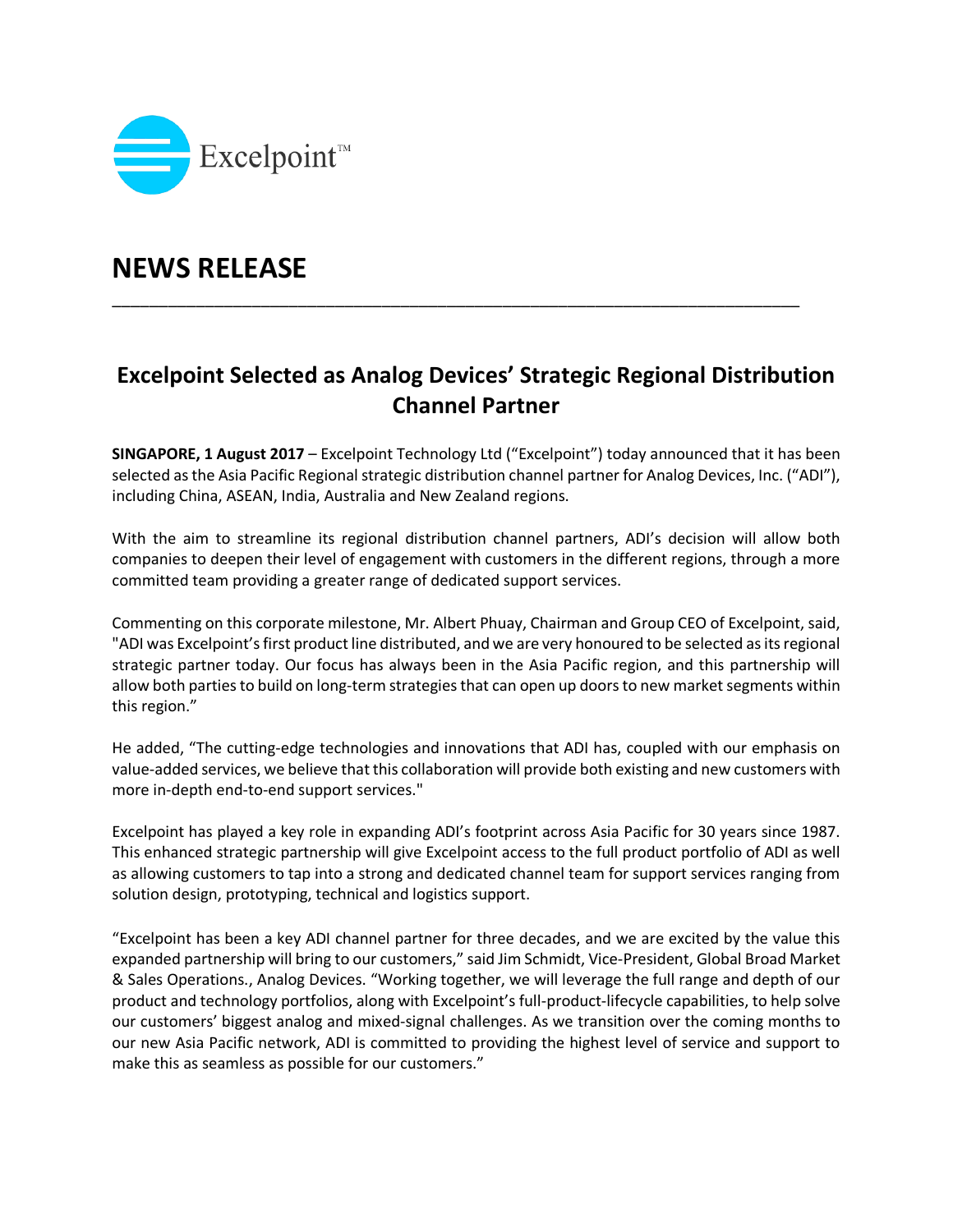

## **NEWS RELEASE**

## **Excelpoint Selected as Analog Devices' Strategic Regional Distribution Channel Partner**

\_\_\_\_\_\_\_\_\_\_\_\_\_\_\_\_\_\_\_\_\_\_\_\_\_\_\_\_\_\_\_\_\_\_\_\_\_\_\_\_\_\_\_\_\_\_\_\_\_\_\_\_\_\_\_\_\_\_\_\_\_\_\_\_\_\_\_\_\_\_\_\_\_\_

**SINGAPORE, 1 August 2017** – Excelpoint Technology Ltd ("Excelpoint") today announced that it has been selected as the Asia Pacific Regional strategic distribution channel partner for Analog Devices, Inc. ("ADI"), including China, ASEAN, India, Australia and New Zealand regions.

With the aim to streamline its regional distribution channel partners, ADI's decision will allow both companies to deepen their level of engagement with customers in the different regions, through a more committed team providing a greater range of dedicated support services.

Commenting on this corporate milestone, Mr. Albert Phuay, Chairman and Group CEO of Excelpoint, said, "ADI was Excelpoint's first product line distributed, and we are very honoured to be selected as its regional strategic partner today. Our focus has always been in the Asia Pacific region, and this partnership will allow both parties to build on long-term strategies that can open up doors to new market segments within this region."

He added, "The cutting-edge technologies and innovations that ADI has, coupled with our emphasis on value-added services, we believe that this collaboration will provide both existing and new customers with more in-depth end-to-end support services."

Excelpoint has played a key role in expanding ADI's footprint across Asia Pacific for 30 years since 1987. This enhanced strategic partnership will give Excelpoint access to the full product portfolio of ADI as well as allowing customers to tap into a strong and dedicated channel team for support services ranging from solution design, prototyping, technical and logistics support.

"Excelpoint has been a key ADI channel partner for three decades, and we are excited by the value this expanded partnership will bring to our customers," said Jim Schmidt, Vice-President, Global Broad Market & Sales Operations., Analog Devices. "Working together, we will leverage the full range and depth of our product and technology portfolios, along with Excelpoint's full-product-lifecycle capabilities, to help solve our customers' biggest analog and mixed-signal challenges. As we transition over the coming months to our new Asia Pacific network, ADI is committed to providing the highest level of service and support to make this as seamless as possible for our customers."